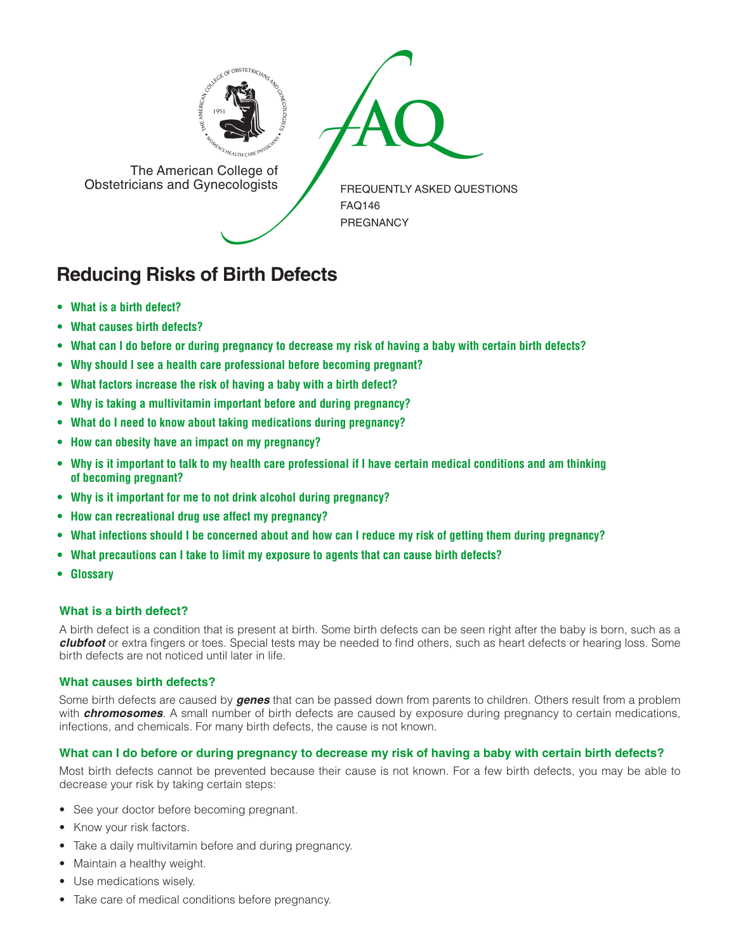



The American College of<br>Obstetricians and Gynecologists

FREQUENTLY ASKED QUESTIONS FAQ146 PREGNANCY

# **Reducing Risks of Birth Defects**

- **• What is a birth defect?**
- **• What causes birth defects?**
- **• What can I do before or during pregnancy to decrease my risk of having a baby with certain birth defects?**
- **• Why should I see a health care professional before becoming pregnant?**
- **• What factors increase the risk of having a baby with a birth defect?**
- **• Why is taking a multivitamin important before and during pregnancy?**
- **• What do I need to know about taking medications during pregnancy?**
- **• How can obesity have an impact on my pregnancy?**
- **• Why is it important to talk to my health care professional if I have certain medical conditions and am thinking of becoming pregnant?**
- **• Why is it important for me to not drink alcohol during pregnancy?**
- **• How can recreational drug use affect my pregnancy?**
- **• What infections should I be concerned about and how can I reduce my risk of getting them during pregnancy?**
- **• What precautions can I take to limit my exposure to agents that can cause birth defects?**
- **• Glossary**

# **What is a birth defect?**

A birth defect is a condition that is present at birth. Some birth defects can be seen right after the baby is born, such as a *clubfoot* or extra fingers or toes. Special tests may be needed to find others, such as heart defects or hearing loss. Some birth defects are not noticed until later in life.

## **What causes birth defects?**

Some birth defects are caused by *genes* that can be passed down from parents to children. Others result from a problem with *chromosomes*. A small number of birth defects are caused by exposure during pregnancy to certain medications, infections, and chemicals. For many birth defects, the cause is not known.

## **What can I do before or during pregnancy to decrease my risk of having a baby with certain birth defects?**

Most birth defects cannot be prevented because their cause is not known. For a few birth defects, you may be able to decrease your risk by taking certain steps:

- See your doctor before becoming pregnant.
- Know your risk factors.
- Take a daily multivitamin before and during pregnancy.
- Maintain a healthy weight.
- Use medications wisely.
- Take care of medical conditions before pregnancy.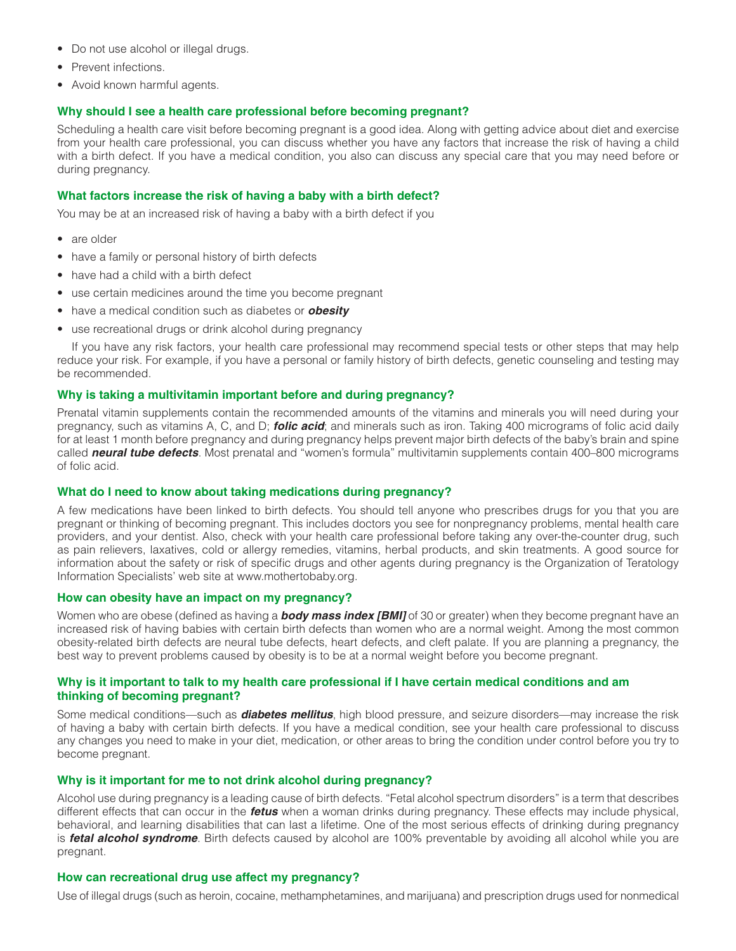- Do not use alcohol or illegal drugs.
- Prevent infections.
- Avoid known harmful agents.

## **Why should I see a health care professional before becoming pregnant?**

Scheduling a health care visit before becoming pregnant is a good idea. Along with getting advice about diet and exercise from your health care professional, you can discuss whether you have any factors that increase the risk of having a child with a birth defect. If you have a medical condition, you also can discuss any special care that you may need before or during pregnancy.

#### **What factors increase the risk of having a baby with a birth defect?**

You may be at an increased risk of having a baby with a birth defect if you

- are older
- have a family or personal history of birth defects
- have had a child with a birth defect
- use certain medicines around the time you become pregnant
- have a medical condition such as diabetes or *obesity*
- use recreational drugs or drink alcohol during pregnancy

If you have any risk factors, your health care professional may recommend special tests or other steps that may help reduce your risk. For example, if you have a personal or family history of birth defects, genetic counseling and testing may be recommended.

## **Why is taking a multivitamin important before and during pregnancy?**

Prenatal vitamin supplements contain the recommended amounts of the vitamins and minerals you will need during your pregnancy, such as vitamins A, C, and D; *folic acid*; and minerals such as iron. Taking 400 micrograms of folic acid daily for at least 1 month before pregnancy and during pregnancy helps prevent major birth defects of the baby's brain and spine called *neural tube defects*. Most prenatal and "women's formula" multivitamin supplements contain 400–800 micrograms of folic acid.

#### **What do I need to know about taking medications during pregnancy?**

A few medications have been linked to birth defects. You should tell anyone who prescribes drugs for you that you are pregnant or thinking of becoming pregnant. This includes doctors you see for nonpregnancy problems, mental health care providers, and your dentist. Also, check with your health care professional before taking any over-the-counter drug, such as pain relievers, laxatives, cold or allergy remedies, vitamins, herbal products, and skin treatments. A good source for information about the safety or risk of specific drugs and other agents during pregnancy is the Organization of Teratology Information Specialists' web site at www.mothertobaby.org.

#### **How can obesity have an impact on my pregnancy?**

Women who are obese (defined as having a *body mass index [BMI]* of 30 or greater) when they become pregnant have an increased risk of having babies with certain birth defects than women who are a normal weight. Among the most common obesity-related birth defects are neural tube defects, heart defects, and cleft palate. If you are planning a pregnancy, the best way to prevent problems caused by obesity is to be at a normal weight before you become pregnant.

## **Why is it important to talk to my health care professional if I have certain medical conditions and am thinking of becoming pregnant?**

Some medical conditions—such as *diabetes mellitus*, high blood pressure, and seizure disorders—may increase the risk of having a baby with certain birth defects. If you have a medical condition, see your health care professional to discuss any changes you need to make in your diet, medication, or other areas to bring the condition under control before you try to become pregnant.

## **Why is it important for me to not drink alcohol during pregnancy?**

Alcohol use during pregnancy is a leading cause of birth defects. "Fetal alcohol spectrum disorders" is a term that describes different effects that can occur in the *fetus* when a woman drinks during pregnancy. These effects may include physical, behavioral, and learning disabilities that can last a lifetime. One of the most serious effects of drinking during pregnancy is *fetal alcohol syndrome*. Birth defects caused by alcohol are 100% preventable by avoiding all alcohol while you are pregnant.

#### **How can recreational drug use affect my pregnancy?**

Use of illegal drugs (such as heroin, cocaine, methamphetamines, and marijuana) and prescription drugs used for nonmedical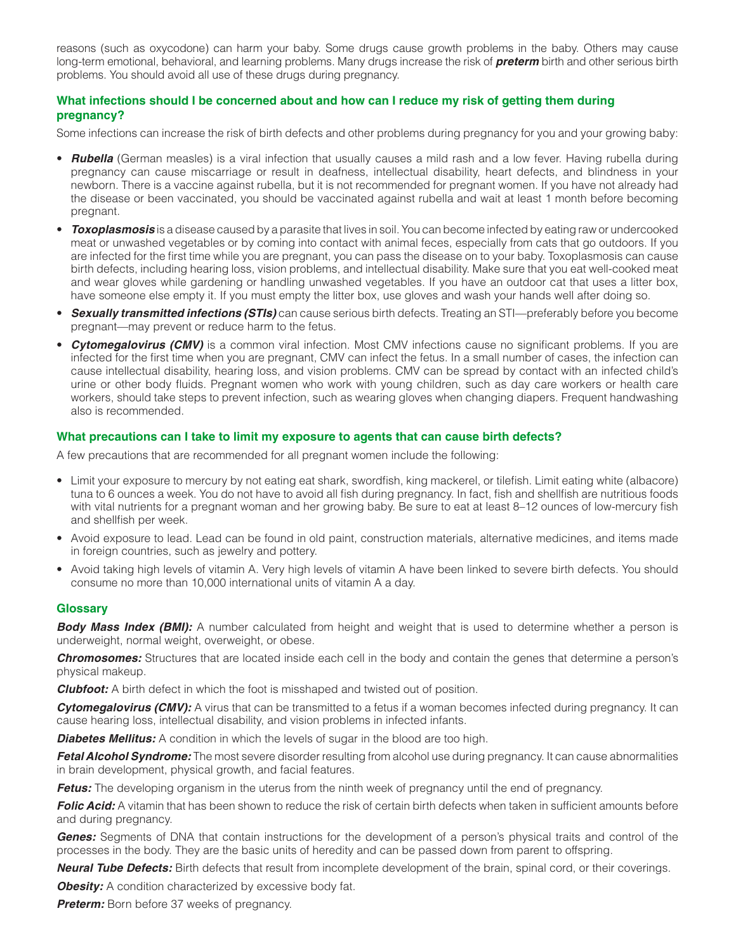reasons (such as oxycodone) can harm your baby. Some drugs cause growth problems in the baby. Others may cause long-term emotional, behavioral, and learning problems. Many drugs increase the risk of *preterm* birth and other serious birth problems. You should avoid all use of these drugs during pregnancy.

## **What infections should I be concerned about and how can I reduce my risk of getting them during pregnancy?**

Some infections can increase the risk of birth defects and other problems during pregnancy for you and your growing baby:

- *Rubella* (German measles) is a viral infection that usually causes a mild rash and a low fever. Having rubella during pregnancy can cause miscarriage or result in deafness, intellectual disability, heart defects, and blindness in your newborn. There is a vaccine against rubella, but it is not recommended for pregnant women. If you have not already had the disease or been vaccinated, you should be vaccinated against rubella and wait at least 1 month before becoming pregnant.
- *Toxoplasmosis* is a disease caused by a parasite that lives in soil. You can become infected by eating raw or undercooked meat or unwashed vegetables or by coming into contact with animal feces, especially from cats that go outdoors. If you are infected for the first time while you are pregnant, you can pass the disease on to your baby. Toxoplasmosis can cause birth defects, including hearing loss, vision problems, and intellectual disability. Make sure that you eat well-cooked meat and wear gloves while gardening or handling unwashed vegetables. If you have an outdoor cat that uses a litter box, have someone else empty it. If you must empty the litter box, use gloves and wash your hands well after doing so.
- *Sexually transmitted infections (STIs)* can cause serious birth defects. Treating an STI—preferably before you become pregnant—may prevent or reduce harm to the fetus.
- *Cytomegalovirus (CMV)* is a common viral infection. Most CMV infections cause no significant problems. If you are infected for the first time when you are pregnant, CMV can infect the fetus. In a small number of cases, the infection can cause intellectual disability, hearing loss, and vision problems. CMV can be spread by contact with an infected child's urine or other body fluids. Pregnant women who work with young children, such as day care workers or health care workers, should take steps to prevent infection, such as wearing gloves when changing diapers. Frequent handwashing also is recommended.

## **What precautions can I take to limit my exposure to agents that can cause birth defects?**

A few precautions that are recommended for all pregnant women include the following:

- Limit your exposure to mercury by not eating eat shark, swordfish, king mackerel, or tilefish. Limit eating white (albacore) tuna to 6 ounces a week. You do not have to avoid all fish during pregnancy. In fact, fish and shellfish are nutritious foods with vital nutrients for a pregnant woman and her growing baby. Be sure to eat at least 8–12 ounces of low-mercury fish and shellfish per week.
- Avoid exposure to lead. Lead can be found in old paint, construction materials, alternative medicines, and items made in foreign countries, such as jewelry and pottery.
- Avoid taking high levels of vitamin A. Very high levels of vitamin A have been linked to severe birth defects. You should consume no more than 10,000 international units of vitamin A a day.

#### **Glossary**

*Body Mass Index (BMI):* A number calculated from height and weight that is used to determine whether a person is underweight, normal weight, overweight, or obese.

*Chromosomes:* Structures that are located inside each cell in the body and contain the genes that determine a person's physical makeup.

*Clubfoot:* A birth defect in which the foot is misshaped and twisted out of position.

**Cytomegalovirus (CMV):** A virus that can be transmitted to a fetus if a woman becomes infected during pregnancy. It can cause hearing loss, intellectual disability, and vision problems in infected infants.

**Diabetes Mellitus:** A condition in which the levels of sugar in the blood are too high.

*Fetal Alcohol Syndrome:* The most severe disorder resulting from alcohol use during pregnancy. It can cause abnormalities in brain development, physical growth, and facial features.

*Fetus:* The developing organism in the uterus from the ninth week of pregnancy until the end of pregnancy.

*Folic Acid:* A vitamin that has been shown to reduce the risk of certain birth defects when taken in sufficient amounts before and during pregnancy.

*Genes:* Segments of DNA that contain instructions for the development of a person's physical traits and control of the processes in the body. They are the basic units of heredity and can be passed down from parent to offspring.

*Neural Tube Defects:* Birth defects that result from incomplete development of the brain, spinal cord, or their coverings.

**Obesity:** A condition characterized by excessive body fat.

**Preterm:** Born before 37 weeks of pregnancy.